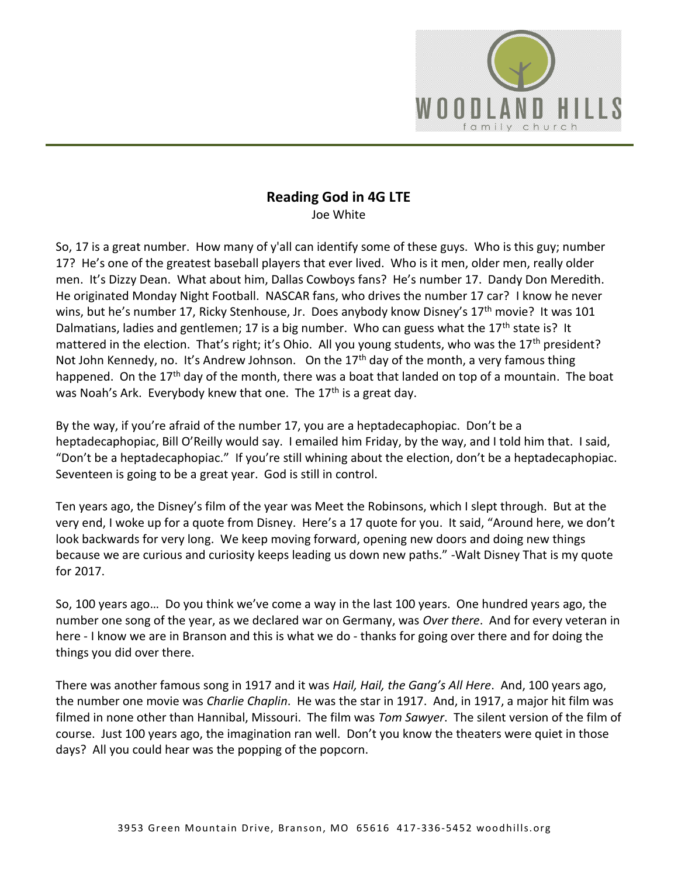

## **Reading God in 4G LTE**  Joe White

So, 17 is a great number. How many of y'all can identify some of these guys. Who is this guy; number 17? He's one of the greatest baseball players that ever lived. Who is it men, older men, really older men. It's Dizzy Dean. What about him, Dallas Cowboys fans? He's number 17. Dandy Don Meredith. He originated Monday Night Football. NASCAR fans, who drives the number 17 car? I know he never wins, but he's number 17, Ricky Stenhouse, Jr. Does anybody know Disney's 17<sup>th</sup> movie? It was 101 Dalmatians, ladies and gentlemen; 17 is a big number. Who can guess what the 17<sup>th</sup> state is? It mattered in the election. That's right; it's Ohio. All you young students, who was the 17<sup>th</sup> president? Not John Kennedy, no. It's Andrew Johnson. On the  $17<sup>th</sup>$  day of the month, a very famous thing happened. On the 17<sup>th</sup> day of the month, there was a boat that landed on top of a mountain. The boat was Noah's Ark. Everybody knew that one. The 17<sup>th</sup> is a great day.

By the way, if you're afraid of the number 17, you are a heptadecaphopiac. Don't be a heptadecaphopiac, Bill O'Reilly would say. I emailed him Friday, by the way, and I told him that. I said, "Don't be a heptadecaphopiac." If you're still whining about the election, don't be a heptadecaphopiac. Seventeen is going to be a great year. God is still in control.

Ten years ago, the Disney's film of the year was Meet the Robinsons, which I slept through. But at the very end, I woke up for a quote from Disney. Here's a 17 quote for you. It said, "Around here, we don't look backwards for very long. We keep moving forward, opening new doors and doing new things because we are curious and curiosity keeps leading us down new paths." -Walt Disney That is my quote for 2017.

So, 100 years ago… Do you think we've come a way in the last 100 years. One hundred years ago, the number one song of the year, as we declared war on Germany, was *Over there*. And for every veteran in here - I know we are in Branson and this is what we do - thanks for going over there and for doing the things you did over there.

There was another famous song in 1917 and it was *Hail, Hail, the Gang's All Here*. And, 100 years ago, the number one movie was *Charlie Chaplin*. He was the star in 1917. And, in 1917, a major hit film was filmed in none other than Hannibal, Missouri. The film was *Tom Sawyer*. The silent version of the film of course. Just 100 years ago, the imagination ran well. Don't you know the theaters were quiet in those days? All you could hear was the popping of the popcorn.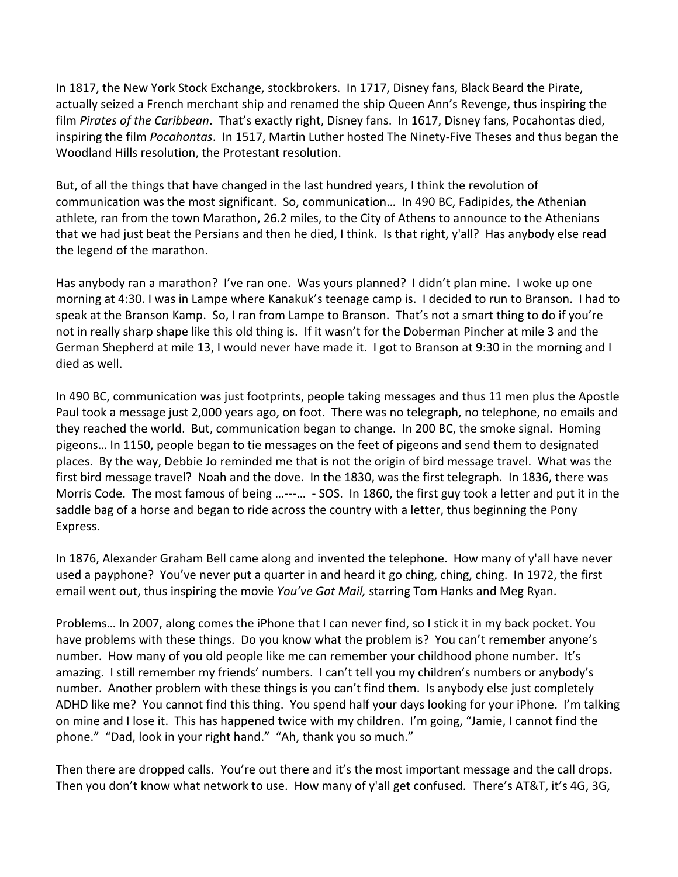In 1817, the New York Stock Exchange, stockbrokers. In 1717, Disney fans, Black Beard the Pirate, actually seized a French merchant ship and renamed the ship Queen Ann's Revenge, thus inspiring the film *Pirates of the Caribbean*. That's exactly right, Disney fans. In 1617, Disney fans, Pocahontas died, inspiring the film *Pocahontas*. In 1517, Martin Luther hosted The Ninety-Five Theses and thus began the Woodland Hills resolution, the Protestant resolution.

But, of all the things that have changed in the last hundred years, I think the revolution of communication was the most significant. So, communication… In 490 BC, Fadipides, the Athenian athlete, ran from the town Marathon, 26.2 miles, to the City of Athens to announce to the Athenians that we had just beat the Persians and then he died, I think. Is that right, y'all? Has anybody else read the legend of the marathon.

Has anybody ran a marathon? I've ran one. Was yours planned? I didn't plan mine. I woke up one morning at 4:30. I was in Lampe where Kanakuk's teenage camp is. I decided to run to Branson. I had to speak at the Branson Kamp. So, I ran from Lampe to Branson. That's not a smart thing to do if you're not in really sharp shape like this old thing is. If it wasn't for the Doberman Pincher at mile 3 and the German Shepherd at mile 13, I would never have made it. I got to Branson at 9:30 in the morning and I died as well.

In 490 BC, communication was just footprints, people taking messages and thus 11 men plus the Apostle Paul took a message just 2,000 years ago, on foot. There was no telegraph, no telephone, no emails and they reached the world. But, communication began to change. In 200 BC, the smoke signal. Homing pigeons… In 1150, people began to tie messages on the feet of pigeons and send them to designated places. By the way, Debbie Jo reminded me that is not the origin of bird message travel. What was the first bird message travel? Noah and the dove. In the 1830, was the first telegraph. In 1836, there was Morris Code. The most famous of being …---… - SOS. In 1860, the first guy took a letter and put it in the saddle bag of a horse and began to ride across the country with a letter, thus beginning the Pony Express.

In 1876, Alexander Graham Bell came along and invented the telephone. How many of y'all have never used a payphone? You've never put a quarter in and heard it go ching, ching, ching. In 1972, the first email went out, thus inspiring the movie *You've Got Mail,* starring Tom Hanks and Meg Ryan.

Problems… In 2007, along comes the iPhone that I can never find, so I stick it in my back pocket. You have problems with these things. Do you know what the problem is? You can't remember anyone's number. How many of you old people like me can remember your childhood phone number. It's amazing. I still remember my friends' numbers. I can't tell you my children's numbers or anybody's number. Another problem with these things is you can't find them. Is anybody else just completely ADHD like me? You cannot find this thing. You spend half your days looking for your iPhone. I'm talking on mine and I lose it. This has happened twice with my children. I'm going, "Jamie, I cannot find the phone." "Dad, look in your right hand." "Ah, thank you so much."

Then there are dropped calls. You're out there and it's the most important message and the call drops. Then you don't know what network to use. How many of y'all get confused. There's AT&T, it's 4G, 3G,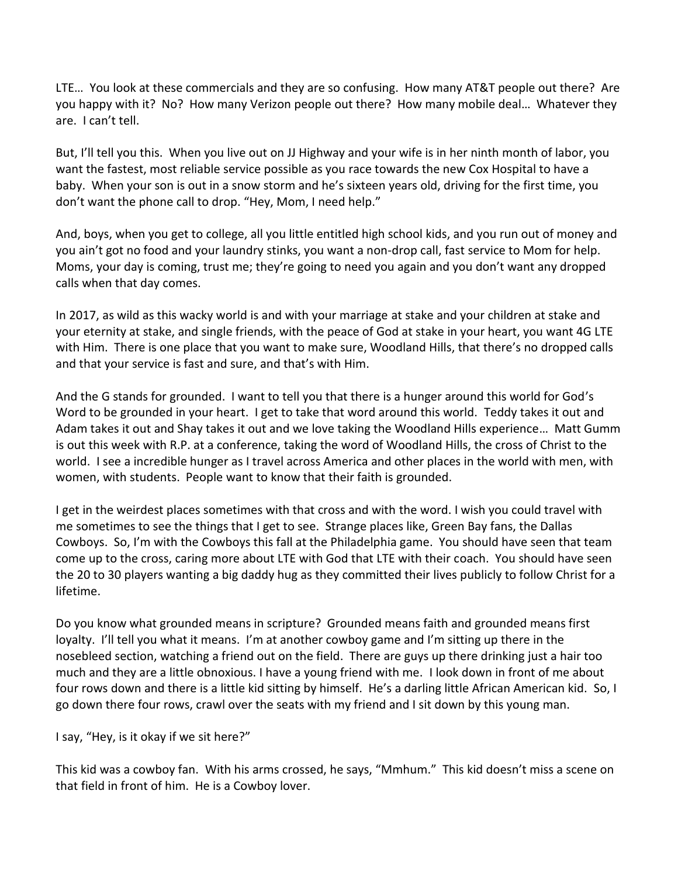LTE… You look at these commercials and they are so confusing. How many AT&T people out there? Are you happy with it? No? How many Verizon people out there? How many mobile deal… Whatever they are. I can't tell.

But, I'll tell you this. When you live out on JJ Highway and your wife is in her ninth month of labor, you want the fastest, most reliable service possible as you race towards the new Cox Hospital to have a baby. When your son is out in a snow storm and he's sixteen years old, driving for the first time, you don't want the phone call to drop. "Hey, Mom, I need help."

And, boys, when you get to college, all you little entitled high school kids, and you run out of money and you ain't got no food and your laundry stinks, you want a non-drop call, fast service to Mom for help. Moms, your day is coming, trust me; they're going to need you again and you don't want any dropped calls when that day comes.

In 2017, as wild as this wacky world is and with your marriage at stake and your children at stake and your eternity at stake, and single friends, with the peace of God at stake in your heart, you want 4G LTE with Him. There is one place that you want to make sure, Woodland Hills, that there's no dropped calls and that your service is fast and sure, and that's with Him.

And the G stands for grounded. I want to tell you that there is a hunger around this world for God's Word to be grounded in your heart. I get to take that word around this world. Teddy takes it out and Adam takes it out and Shay takes it out and we love taking the Woodland Hills experience… Matt Gumm is out this week with R.P. at a conference, taking the word of Woodland Hills, the cross of Christ to the world. I see a incredible hunger as I travel across America and other places in the world with men, with women, with students. People want to know that their faith is grounded.

I get in the weirdest places sometimes with that cross and with the word. I wish you could travel with me sometimes to see the things that I get to see. Strange places like, Green Bay fans, the Dallas Cowboys. So, I'm with the Cowboys this fall at the Philadelphia game. You should have seen that team come up to the cross, caring more about LTE with God that LTE with their coach. You should have seen the 20 to 30 players wanting a big daddy hug as they committed their lives publicly to follow Christ for a lifetime.

Do you know what grounded means in scripture? Grounded means faith and grounded means first loyalty. I'll tell you what it means. I'm at another cowboy game and I'm sitting up there in the nosebleed section, watching a friend out on the field. There are guys up there drinking just a hair too much and they are a little obnoxious. I have a young friend with me. I look down in front of me about four rows down and there is a little kid sitting by himself. He's a darling little African American kid. So, I go down there four rows, crawl over the seats with my friend and I sit down by this young man.

I say, "Hey, is it okay if we sit here?"

This kid was a cowboy fan. With his arms crossed, he says, "Mmhum." This kid doesn't miss a scene on that field in front of him. He is a Cowboy lover.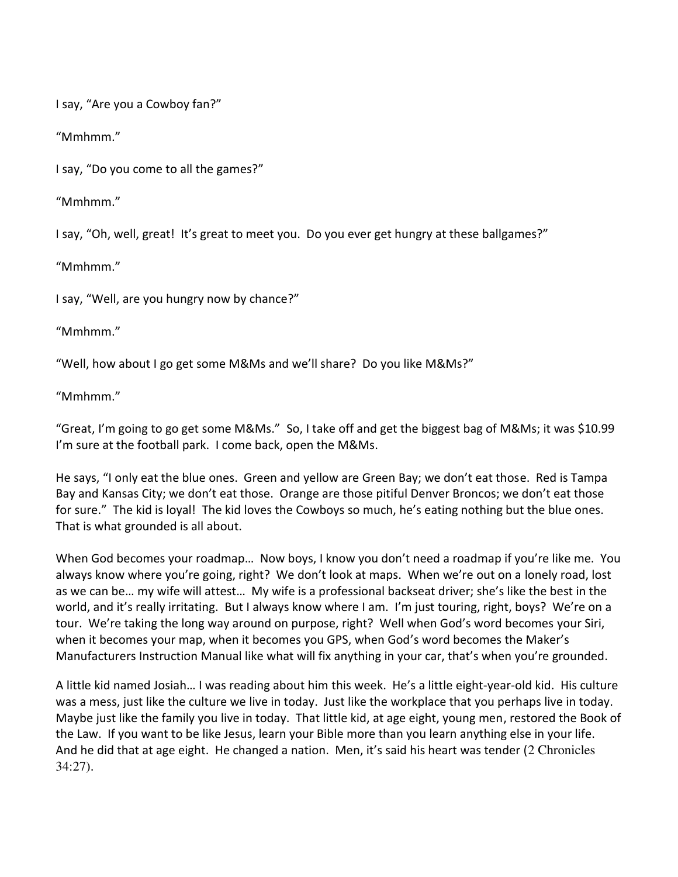I say, "Are you a Cowboy fan?"

"Mmhmm."

I say, "Do you come to all the games?"

"Mmhmm."

I say, "Oh, well, great! It's great to meet you. Do you ever get hungry at these ballgames?"

"Mmhmm."

I say, "Well, are you hungry now by chance?"

"Mmhmm."

"Well, how about I go get some M&Ms and we'll share? Do you like M&Ms?"

"Mmhmm."

"Great, I'm going to go get some M&Ms." So, I take off and get the biggest bag of M&Ms; it was \$10.99 I'm sure at the football park. I come back, open the M&Ms.

He says, "I only eat the blue ones. Green and yellow are Green Bay; we don't eat those. Red is Tampa Bay and Kansas City; we don't eat those. Orange are those pitiful Denver Broncos; we don't eat those for sure." The kid is loyal! The kid loves the Cowboys so much, he's eating nothing but the blue ones. That is what grounded is all about.

When God becomes your roadmap… Now boys, I know you don't need a roadmap if you're like me. You always know where you're going, right? We don't look at maps. When we're out on a lonely road, lost as we can be… my wife will attest… My wife is a professional backseat driver; she's like the best in the world, and it's really irritating. But I always know where I am. I'm just touring, right, boys? We're on a tour. We're taking the long way around on purpose, right? Well when God's word becomes your Siri, when it becomes your map, when it becomes you GPS, when God's word becomes the Maker's Manufacturers Instruction Manual like what will fix anything in your car, that's when you're grounded.

A little kid named Josiah… I was reading about him this week. He's a little eight-year-old kid. His culture was a mess, just like the culture we live in today. Just like the workplace that you perhaps live in today. Maybe just like the family you live in today. That little kid, at age eight, young men, restored the Book of the Law. If you want to be like Jesus, learn your Bible more than you learn anything else in your life. And he did that at age eight. He changed a nation. Men, it's said his heart was tender (2 Chronicles 34:27).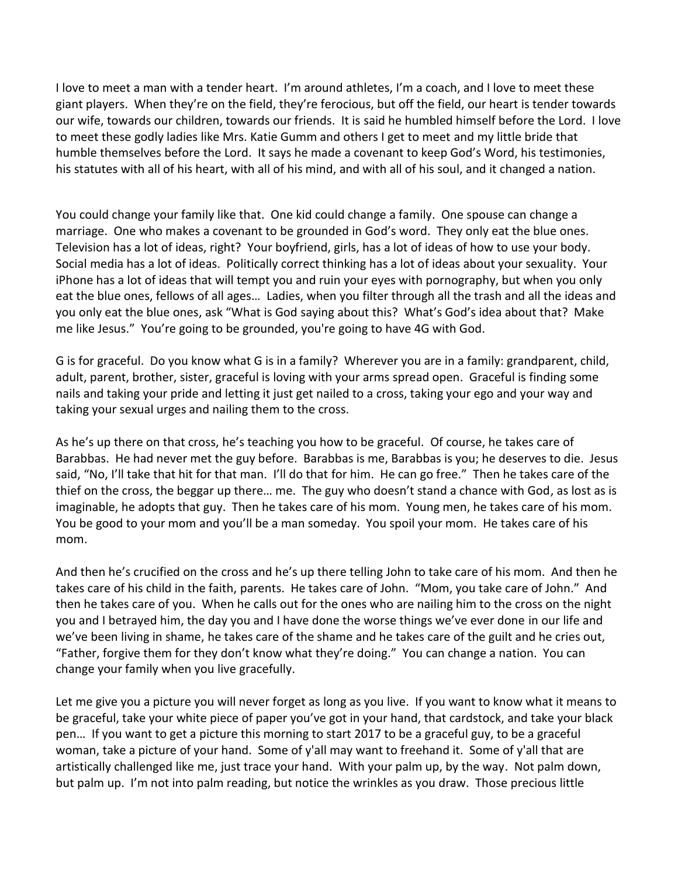I love to meet a man with a tender heart. I'm around athletes, I'm a coach, and I love to meet these giant players. When they're on the field, they're ferocious, but off the field, our heart is tender towards our wife, towards our children, towards our friends. It is said he humbled himself before the Lord. I love to meet these godly ladies like Mrs. Katie Gumm and others I get to meet and my little bride that humble themselves before the Lord. It says he made a covenant to keep God's Word, his testimonies, his statutes with all of his heart, with all of his mind, and with all of his soul, and it changed a nation.

You could change your family like that. One kid could change a family. One spouse can change a marriage. One who makes a covenant to be grounded in God's word. They only eat the blue ones. Television has a lot of ideas, right? Your boyfriend, girls, has a lot of ideas of how to use your body. Social media has a lot of ideas. Politically correct thinking has a lot of ideas about your sexuality. Your iPhone has a lot of ideas that will tempt you and ruin your eyes with pornography, but when you only eat the blue ones, fellows of all ages… Ladies, when you filter through all the trash and all the ideas and you only eat the blue ones, ask "What is God saying about this? What's God's idea about that? Make me like Jesus." You're going to be grounded, you're going to have 4G with God.

G is for graceful. Do you know what G is in a family? Wherever you are in a family: grandparent, child, adult, parent, brother, sister, graceful is loving with your arms spread open. Graceful is finding some nails and taking your pride and letting it just get nailed to a cross, taking your ego and your way and taking your sexual urges and nailing them to the cross.

As he's up there on that cross, he's teaching you how to be graceful. Of course, he takes care of Barabbas. He had never met the guy before. Barabbas is me, Barabbas is you; he deserves to die. Jesus said, "No, I'll take that hit for that man. I'll do that for him. He can go free." Then he takes care of the thief on the cross, the beggar up there… me. The guy who doesn't stand a chance with God, as lost as is imaginable, he adopts that guy. Then he takes care of his mom. Young men, he takes care of his mom. You be good to your mom and you'll be a man someday. You spoil your mom. He takes care of his mom.

And then he's crucified on the cross and he's up there telling John to take care of his mom. And then he takes care of his child in the faith, parents. He takes care of John. "Mom, you take care of John." And then he takes care of you. When he calls out for the ones who are nailing him to the cross on the night you and I betrayed him, the day you and I have done the worse things we've ever done in our life and we've been living in shame, he takes care of the shame and he takes care of the guilt and he cries out, "Father, forgive them for they don't know what they're doing." You can change a nation. You can change your family when you live gracefully.

Let me give you a picture you will never forget as long as you live. If you want to know what it means to be graceful, take your white piece of paper you've got in your hand, that cardstock, and take your black pen… If you want to get a picture this morning to start 2017 to be a graceful guy, to be a graceful woman, take a picture of your hand. Some of y'all may want to freehand it. Some of y'all that are artistically challenged like me, just trace your hand. With your palm up, by the way. Not palm down, but palm up. I'm not into palm reading, but notice the wrinkles as you draw. Those precious little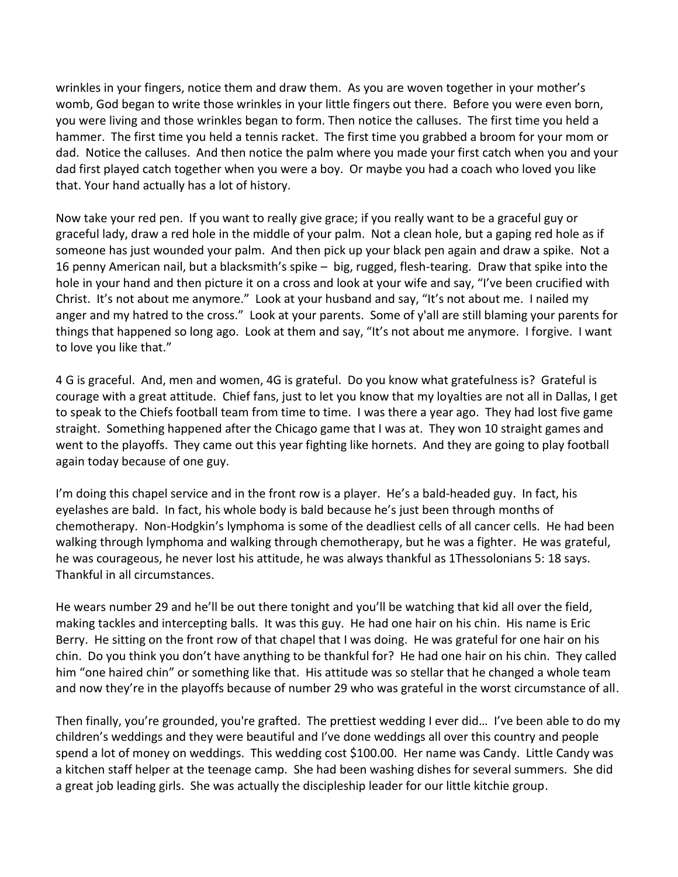wrinkles in your fingers, notice them and draw them. As you are woven together in your mother's womb, God began to write those wrinkles in your little fingers out there. Before you were even born, you were living and those wrinkles began to form. Then notice the calluses. The first time you held a hammer. The first time you held a tennis racket. The first time you grabbed a broom for your mom or dad. Notice the calluses. And then notice the palm where you made your first catch when you and your dad first played catch together when you were a boy. Or maybe you had a coach who loved you like that. Your hand actually has a lot of history.

Now take your red pen. If you want to really give grace; if you really want to be a graceful guy or graceful lady, draw a red hole in the middle of your palm. Not a clean hole, but a gaping red hole as if someone has just wounded your palm. And then pick up your black pen again and draw a spike. Not a 16 penny American nail, but a blacksmith's spike – big, rugged, flesh-tearing. Draw that spike into the hole in your hand and then picture it on a cross and look at your wife and say, "I've been crucified with Christ. It's not about me anymore." Look at your husband and say, "It's not about me. I nailed my anger and my hatred to the cross." Look at your parents. Some of y'all are still blaming your parents for things that happened so long ago. Look at them and say, "It's not about me anymore. I forgive. I want to love you like that."

4 G is graceful. And, men and women, 4G is grateful. Do you know what gratefulness is? Grateful is courage with a great attitude. Chief fans, just to let you know that my loyalties are not all in Dallas, I get to speak to the Chiefs football team from time to time. I was there a year ago. They had lost five game straight. Something happened after the Chicago game that I was at. They won 10 straight games and went to the playoffs. They came out this year fighting like hornets. And they are going to play football again today because of one guy.

I'm doing this chapel service and in the front row is a player. He's a bald-headed guy. In fact, his eyelashes are bald. In fact, his whole body is bald because he's just been through months of chemotherapy. Non-Hodgkin's lymphoma is some of the deadliest cells of all cancer cells. He had been walking through lymphoma and walking through chemotherapy, but he was a fighter. He was grateful, he was courageous, he never lost his attitude, he was always thankful as 1Thessolonians 5: 18 says. Thankful in all circumstances.

He wears number 29 and he'll be out there tonight and you'll be watching that kid all over the field, making tackles and intercepting balls. It was this guy. He had one hair on his chin. His name is Eric Berry. He sitting on the front row of that chapel that I was doing. He was grateful for one hair on his chin. Do you think you don't have anything to be thankful for? He had one hair on his chin. They called him "one haired chin" or something like that. His attitude was so stellar that he changed a whole team and now they're in the playoffs because of number 29 who was grateful in the worst circumstance of all.

Then finally, you're grounded, you're grafted. The prettiest wedding I ever did… I've been able to do my children's weddings and they were beautiful and I've done weddings all over this country and people spend a lot of money on weddings. This wedding cost \$100.00. Her name was Candy. Little Candy was a kitchen staff helper at the teenage camp. She had been washing dishes for several summers. She did a great job leading girls. She was actually the discipleship leader for our little kitchie group.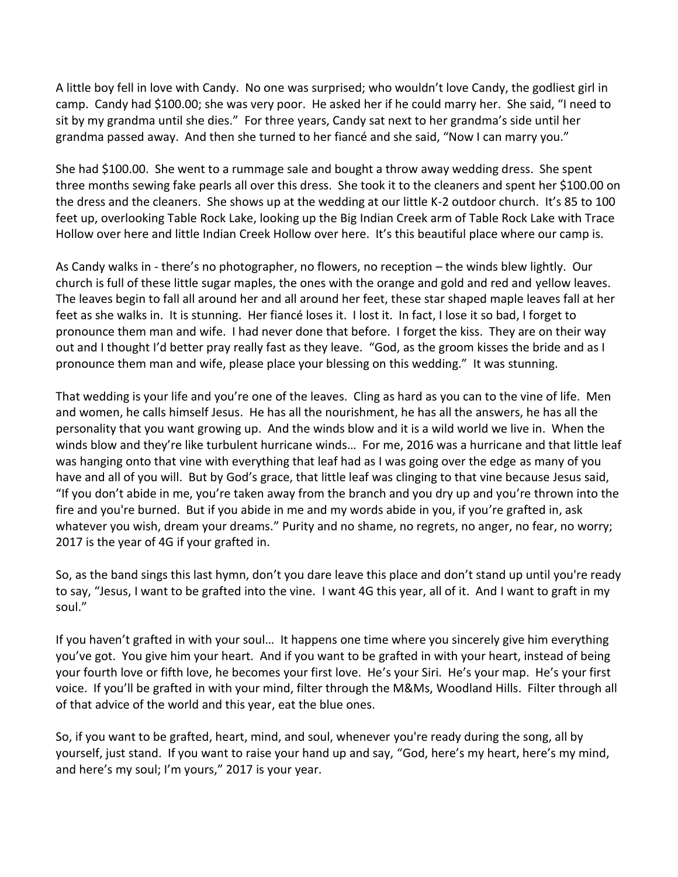A little boy fell in love with Candy. No one was surprised; who wouldn't love Candy, the godliest girl in camp. Candy had \$100.00; she was very poor. He asked her if he could marry her. She said, "I need to sit by my grandma until she dies." For three years, Candy sat next to her grandma's side until her grandma passed away. And then she turned to her fiancé and she said, "Now I can marry you."

She had \$100.00. She went to a rummage sale and bought a throw away wedding dress. She spent three months sewing fake pearls all over this dress. She took it to the cleaners and spent her \$100.00 on the dress and the cleaners. She shows up at the wedding at our little K-2 outdoor church. It's 85 to 100 feet up, overlooking Table Rock Lake, looking up the Big Indian Creek arm of Table Rock Lake with Trace Hollow over here and little Indian Creek Hollow over here. It's this beautiful place where our camp is.

As Candy walks in - there's no photographer, no flowers, no reception – the winds blew lightly. Our church is full of these little sugar maples, the ones with the orange and gold and red and yellow leaves. The leaves begin to fall all around her and all around her feet, these star shaped maple leaves fall at her feet as she walks in. It is stunning. Her fiancé loses it. I lost it. In fact, I lose it so bad, I forget to pronounce them man and wife. I had never done that before. I forget the kiss. They are on their way out and I thought I'd better pray really fast as they leave. "God, as the groom kisses the bride and as I pronounce them man and wife, please place your blessing on this wedding." It was stunning.

That wedding is your life and you're one of the leaves. Cling as hard as you can to the vine of life. Men and women, he calls himself Jesus. He has all the nourishment, he has all the answers, he has all the personality that you want growing up. And the winds blow and it is a wild world we live in. When the winds blow and they're like turbulent hurricane winds… For me, 2016 was a hurricane and that little leaf was hanging onto that vine with everything that leaf had as I was going over the edge as many of you have and all of you will. But by God's grace, that little leaf was clinging to that vine because Jesus said, "If you don't abide in me, you're taken away from the branch and you dry up and you're thrown into the fire and you're burned. But if you abide in me and my words abide in you, if you're grafted in, ask whatever you wish, dream your dreams." Purity and no shame, no regrets, no anger, no fear, no worry; 2017 is the year of 4G if your grafted in.

So, as the band sings this last hymn, don't you dare leave this place and don't stand up until you're ready to say, "Jesus, I want to be grafted into the vine. I want 4G this year, all of it. And I want to graft in my soul."

If you haven't grafted in with your soul… It happens one time where you sincerely give him everything you've got. You give him your heart. And if you want to be grafted in with your heart, instead of being your fourth love or fifth love, he becomes your first love. He's your Siri. He's your map. He's your first voice. If you'll be grafted in with your mind, filter through the M&Ms, Woodland Hills. Filter through all of that advice of the world and this year, eat the blue ones.

So, if you want to be grafted, heart, mind, and soul, whenever you're ready during the song, all by yourself, just stand. If you want to raise your hand up and say, "God, here's my heart, here's my mind, and here's my soul; I'm yours," 2017 is your year.